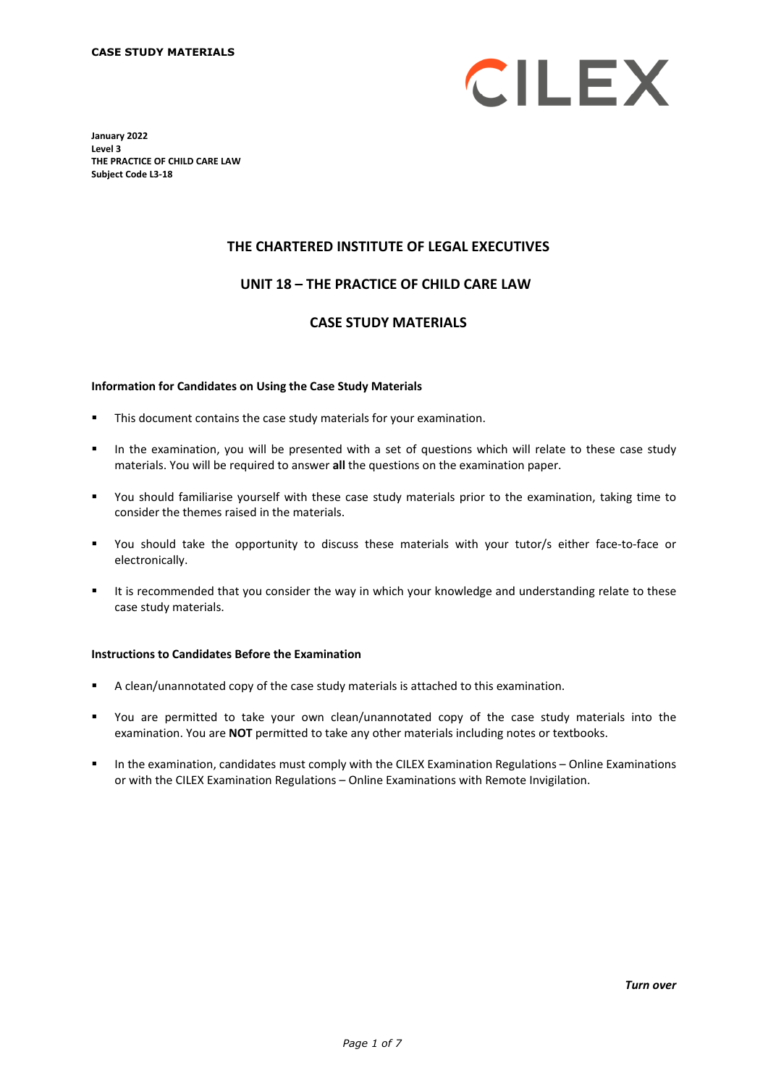

**January 2022 Level 3 THE PRACTICE OF CHILD CARE LAW Subject Code L3-18**

## **THE CHARTERED INSTITUTE OF LEGAL EXECUTIVES**

## **UNIT 18 – THE PRACTICE OF CHILD CARE LAW\***

## **CASE STUDY MATERIALS**

#### **Information for Candidates on Using the Case Study Materials**

- This document contains the case study materials for your examination.
- In the examination, you will be presented with a set of questions which will relate to these case study materials. You will be required to answer **all** the questions on the examination paper.
- You should familiarise yourself with these case study materials prior to the examination, taking time to consider the themes raised in the materials.
- You should take the opportunity to discuss these materials with your tutor/s either face-to-face or electronically.
- It is recommended that you consider the way in which your knowledge and understanding relate to these case study materials.

#### **Instructions to Candidates Before the Examination**

- A clean/unannotated copy of the case study materials is attached to this examination.
- You are permitted to take your own clean/unannotated copy of the case study materials into the examination. You are **NOT** permitted to take any other materials including notes or textbooks.
- In the examination, candidates must comply with the CILEX Examination Regulations Online Examinations or with the CILEX Examination Regulations – Online Examinations with Remote Invigilation.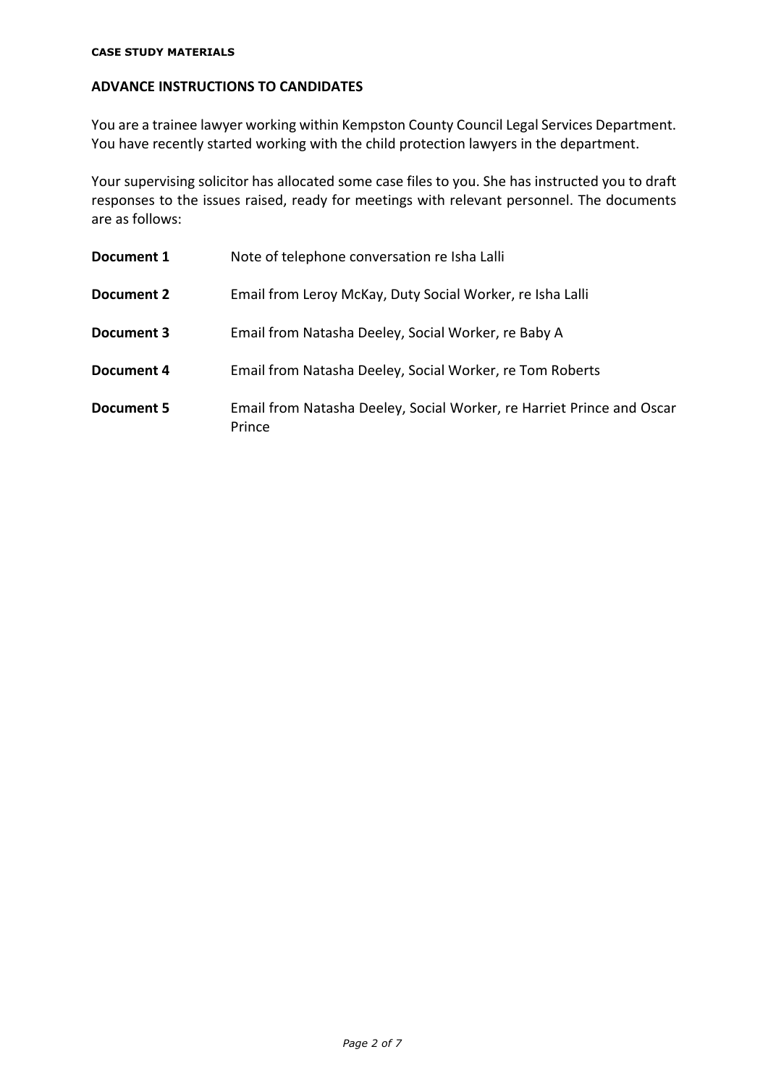#### **CASE STUDY MATERIALS**

# **ADVANCE INSTRUCTIONS TO CANDIDATES**

You are a trainee lawyer working within Kempston County Council Legal Services Department. You have recently started working with the child protection lawyers in the department.

Your supervising solicitor has allocated some case files to you. She has instructed you to draft responses to the issues raised, ready for meetings with relevant personnel. The documents are as follows:

| Document 1 | Note of telephone conversation re Isha Lalli                                    |
|------------|---------------------------------------------------------------------------------|
| Document 2 | Email from Leroy McKay, Duty Social Worker, re Isha Lalli                       |
| Document 3 | Email from Natasha Deeley, Social Worker, re Baby A                             |
| Document 4 | Email from Natasha Deeley, Social Worker, re Tom Roberts                        |
| Document 5 | Email from Natasha Deeley, Social Worker, re Harriet Prince and Oscar<br>Prince |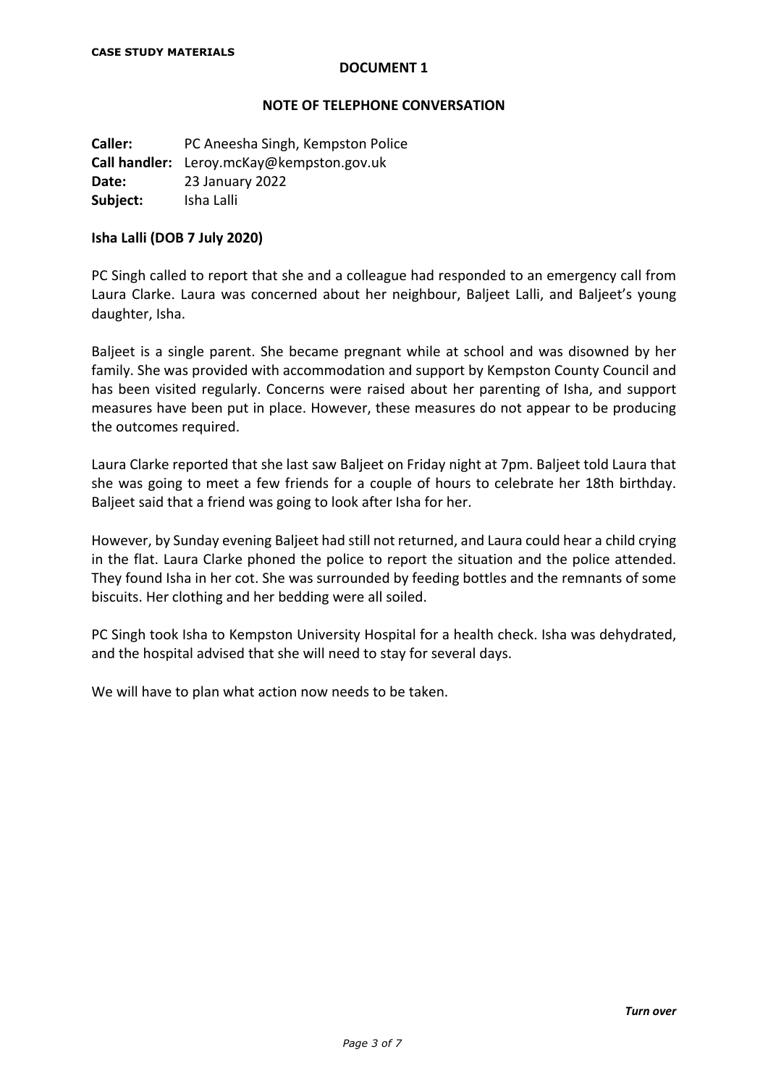#### **NOTE OF TELEPHONE CONVERSATION**

**Caller:** PC Aneesha Singh, Kempston Police **Call handler:** Leroy.mcKay@kempston.gov.uk **Date:** 23 January 2022 **Subject:** Isha Lalli

#### **Isha Lalli (DOB 7 July 2020)**

PC Singh called to report that she and a colleague had responded to an emergency call from Laura Clarke. Laura was concerned about her neighbour, Baljeet Lalli, and Baljeet's young daughter, Isha.

Baljeet is a single parent. She became pregnant while at school and was disowned by her family. She was provided with accommodation and support by Kempston County Council and has been visited regularly. Concerns were raised about her parenting of Isha, and support measures have been put in place. However, these measures do not appear to be producing the outcomes required.

Laura Clarke reported that she last saw Baljeet on Friday night at 7pm. Baljeet told Laura that she was going to meet a few friends for a couple of hours to celebrate her 18th birthday. Baljeet said that a friend was going to look after Isha for her.

However, by Sunday evening Baljeet had still not returned, and Laura could hear a child crying in the flat. Laura Clarke phoned the police to report the situation and the police attended. They found Isha in her cot. She was surrounded by feeding bottles and the remnants of some biscuits. Her clothing and her bedding were all soiled.

PC Singh took Isha to Kempston University Hospital for a health check. Isha was dehydrated, and the hospital advised that she will need to stay for several days.

We will have to plan what action now needs to be taken.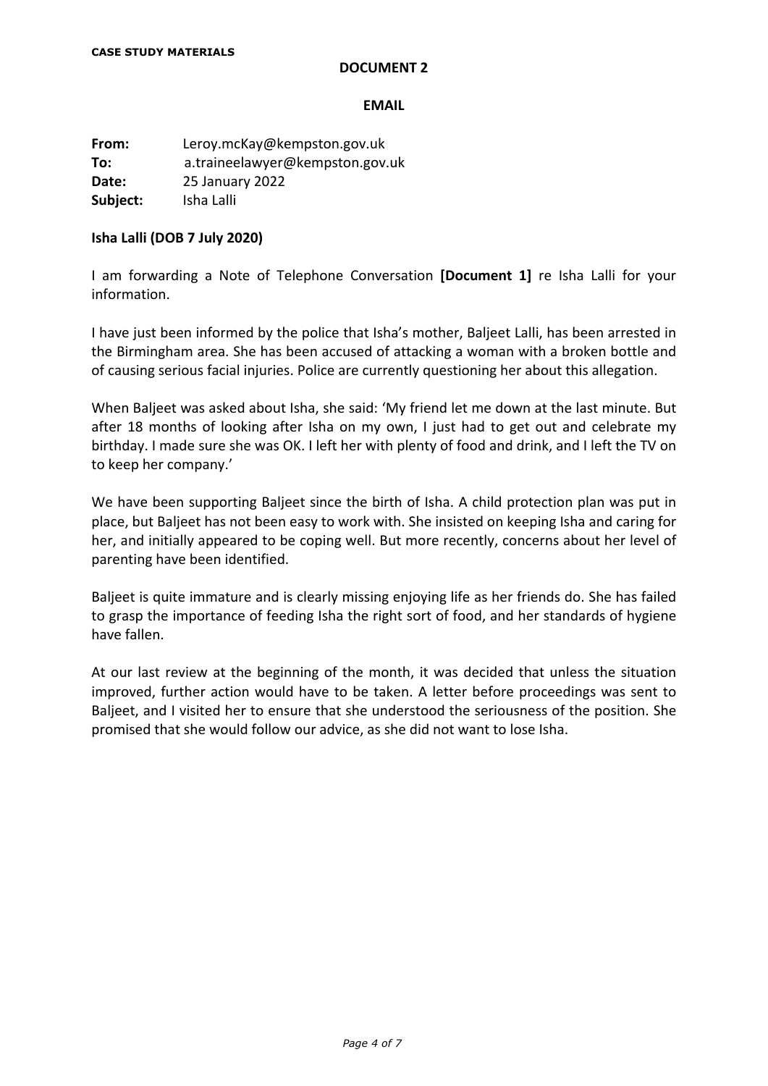#### **EMAIL**

**From:** Leroy.mcKay@kempston.gov.uk **To:** a.traineelawyer@kempston.gov.uk **Date:** 25 January 2022 **Subject:** Isha Lalli

#### **Isha Lalli (DOB 7 July 2020)**

I am forwarding a Note of Telephone Conversation **[Document 1]** re Isha Lalli for your information.

I have just been informed by the police that Isha's mother, Baljeet Lalli, has been arrested in the Birmingham area. She has been accused of attacking a woman with a broken bottle and of causing serious facial injuries. Police are currently questioning her about this allegation.

When Baljeet was asked about Isha, she said: 'My friend let me down at the last minute. But after 18 months of looking after Isha on my own, I just had to get out and celebrate my birthday. I made sure she was OK. I left her with plenty of food and drink, and I left the TV on to keep her company.'

We have been supporting Baljeet since the birth of Isha. A child protection plan was put in place, but Baljeet has not been easy to work with. She insisted on keeping Isha and caring for her, and initially appeared to be coping well. But more recently, concerns about her level of parenting have been identified.

Baljeet is quite immature and is clearly missing enjoying life as her friends do. She has failed to grasp the importance of feeding Isha the right sort of food, and her standards of hygiene have fallen.

At our last review at the beginning of the month, it was decided that unless the situation improved, further action would have to be taken. A letter before proceedings was sent to Baljeet, and I visited her to ensure that she understood the seriousness of the position. She promised that she would follow our advice, as she did not want to lose Isha.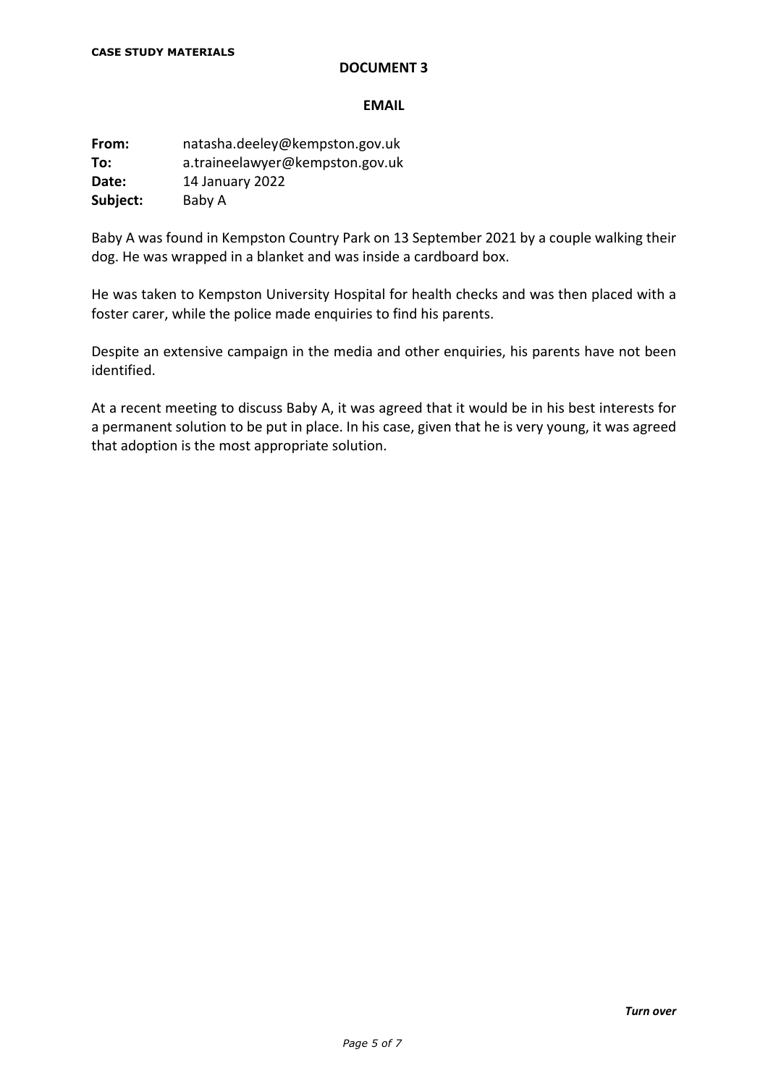#### **EMAIL**

**From:** natasha.deeley@kempston.gov.uk **To:** a.traineelawyer@kempston.gov.uk **Date:** 14 January 2022 **Subject:** Baby A

Baby A was found in Kempston Country Park on 13 September 2021 by a couple walking their dog. He was wrapped in a blanket and was inside a cardboard box.

He was taken to Kempston University Hospital for health checks and was then placed with a foster carer, while the police made enquiries to find his parents.

Despite an extensive campaign in the media and other enquiries, his parents have not been identified.

At a recent meeting to discuss Baby A, it was agreed that it would be in his best interests for a permanent solution to be put in place. In his case, given that he is very young, it was agreed that adoption is the most appropriate solution.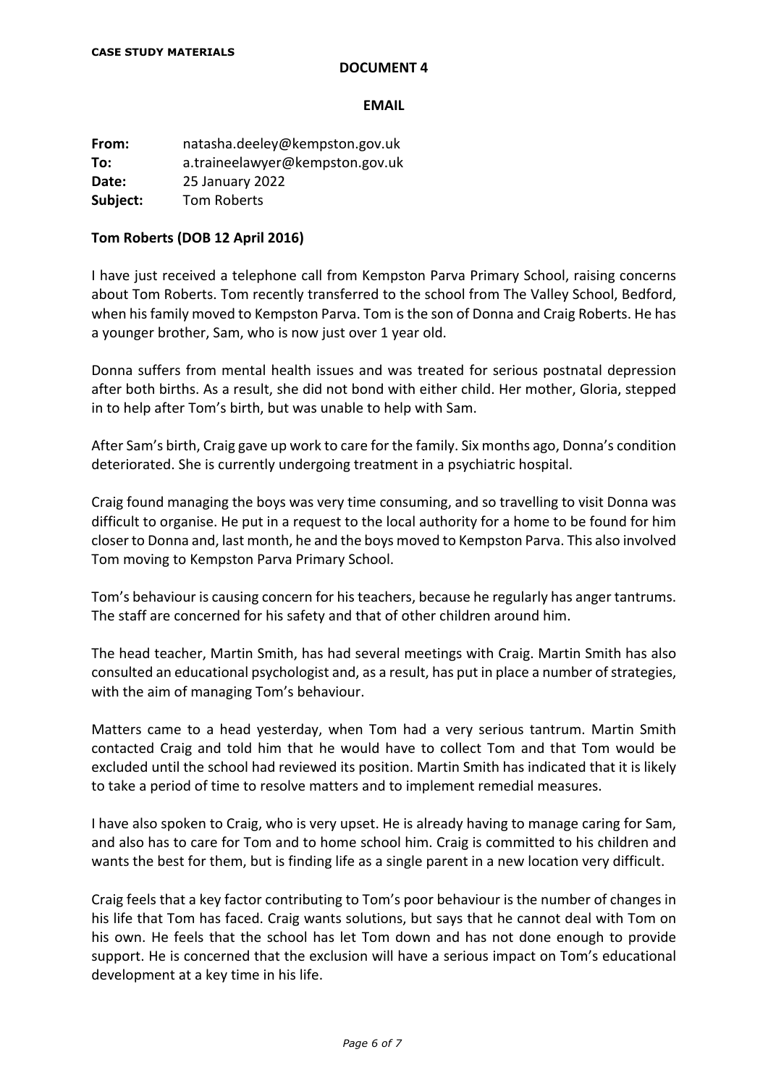#### **EMAIL**

**From:** natasha.deeley@kempston.gov.uk **To:** a.traineelawyer@kempston.gov.uk **Date:** 25 January 2022 **Subject:** Tom Roberts

## **Tom Roberts (DOB 12 April 2016)**

I have just received a telephone call from Kempston Parva Primary School, raising concerns about Tom Roberts. Tom recently transferred to the school from The Valley School, Bedford, when his family moved to Kempston Parva. Tom is the son of Donna and Craig Roberts. He has a younger brother, Sam, who is now just over 1 year old.

Donna suffers from mental health issues and was treated for serious postnatal depression after both births. As a result, she did not bond with either child. Her mother, Gloria, stepped in to help after Tom's birth, but was unable to help with Sam.

After Sam's birth, Craig gave up work to care for the family. Six months ago, Donna's condition deteriorated. She is currently undergoing treatment in a psychiatric hospital.

Craig found managing the boys was very time consuming, and so travelling to visit Donna was difficult to organise. He put in a request to the local authority for a home to be found for him closer to Donna and, last month, he and the boys moved to Kempston Parva. This also involved Tom moving to Kempston Parva Primary School.

Tom's behaviour is causing concern for his teachers, because he regularly has anger tantrums. The staff are concerned for his safety and that of other children around him.

The head teacher, Martin Smith, has had several meetings with Craig. Martin Smith has also consulted an educational psychologist and, as a result, has put in place a number of strategies, with the aim of managing Tom's behaviour.

Matters came to a head yesterday, when Tom had a very serious tantrum. Martin Smith contacted Craig and told him that he would have to collect Tom and that Tom would be excluded until the school had reviewed its position. Martin Smith has indicated that it is likely to take a period of time to resolve matters and to implement remedial measures.

I have also spoken to Craig, who is very upset. He is already having to manage caring for Sam, and also has to care for Tom and to home school him. Craig is committed to his children and wants the best for them, but is finding life as a single parent in a new location very difficult.

Craig feels that a key factor contributing to Tom's poor behaviour is the number of changes in his life that Tom has faced. Craig wants solutions, but says that he cannot deal with Tom on his own. He feels that the school has let Tom down and has not done enough to provide support. He is concerned that the exclusion will have a serious impact on Tom's educational development at a key time in his life.